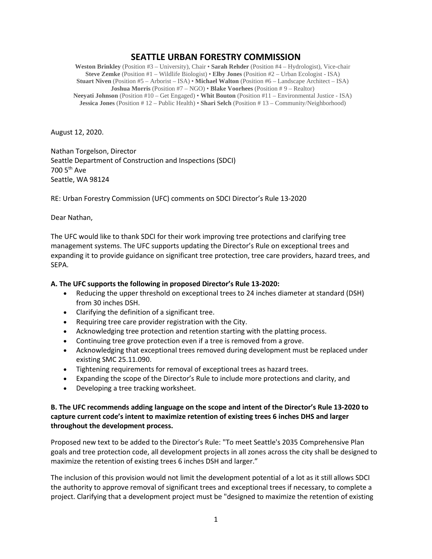# **SEATTLE URBAN FORESTRY COMMISSION**

**Weston Brinkley** (Position #3 – University), Chair • **Sarah Rehder** (Position #4 – Hydrologist), Vice-chair **Steve Zemke** (Position #1 – Wildlife Biologist) • **Elby Jones** (Position #2 – Urban Ecologist - ISA) **Stuart Niven** (Position #5 – Arborist – ISA) • **Michael Walton** (Position #6 – Landscape Architect – ISA) **Joshua Morris** (Position #7 – NGO) • **Blake Voorhees** (Position # 9 – Realtor) **Neeyati Johnson** (Position #10 – Get Engaged) • **Whit Bouton** (Position #11 – Environmental Justice - ISA) **Jessica Jones** (Position # 12 – Public Health) • **Shari Selch** (Position # 13 – Community/Neighborhood)

August 12, 2020.

Nathan Torgelson, Director Seattle Department of Construction and Inspections (SDCI) 700 5th Ave Seattle, WA 98124

RE: Urban Forestry Commission (UFC) comments on SDCI Director's Rule 13-2020

#### Dear Nathan,

The UFC would like to thank SDCI for their work improving tree protections and clarifying tree management systems. The UFC supports updating the Director's Rule on exceptional trees and expanding it to provide guidance on significant tree protection, tree care providers, hazard trees, and SEPA.

#### **A. The UFC supports the following in proposed Director's Rule 13-2020:**

- Reducing the upper threshold on exceptional trees to 24 inches diameter at standard (DSH) from 30 inches DSH.
- Clarifying the definition of a significant tree.
- Requiring tree care provider registration with the City.
- Acknowledging tree protection and retention starting with the platting process.
- Continuing tree grove protection even if a tree is removed from a grove.
- Acknowledging that exceptional trees removed during development must be replaced under existing SMC 25.11.090.
- Tightening requirements for removal of exceptional trees as hazard trees.
- Expanding the scope of the Director's Rule to include more protections and clarity, and
- Developing a tree tracking worksheet.

### **B. The UFC recommends adding language on the scope and intent of the Director's Rule 13-2020 to capture current code's intent to maximize retention of existing trees 6 inches DHS and larger throughout the development process.**

Proposed new text to be added to the Director's Rule: "To meet Seattle's 2035 Comprehensive Plan goals and tree protection code, all development projects in all zones across the city shall be designed to maximize the retention of existing trees 6 inches DSH and larger."

The inclusion of this provision would not limit the development potential of a lot as it still allows SDCI the authority to approve removal of significant trees and exceptional trees if necessary, to complete a project. Clarifying that a development project must be "designed to maximize the retention of existing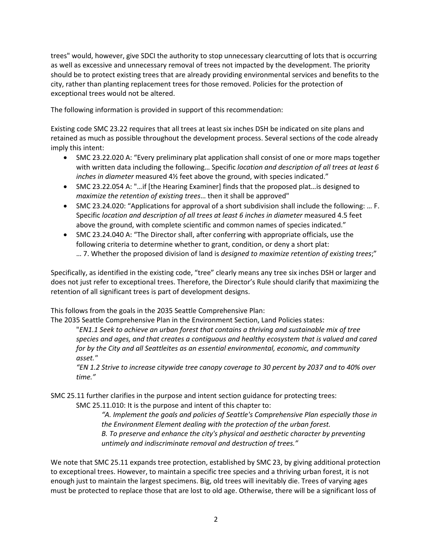trees" would, however, give SDCI the authority to stop unnecessary clearcutting of lots that is occurring as well as excessive and unnecessary removal of trees not impacted by the development. The priority should be to protect existing trees that are already providing environmental services and benefits to the city, rather than planting replacement trees for those removed. Policies for the protection of exceptional trees would not be altered.

The following information is provided in support of this recommendation:

Existing code SMC 23.22 requires that all trees at least six inches DSH be indicated on site plans and retained as much as possible throughout the development process. Several sections of the code already imply this intent:

- SMC 23.22.020 A: "Every preliminary plat application shall consist of one or more maps together with written data including the following… Specific *location and description of all trees at least 6 inches in diameter* measured 4½ feet above the ground, with species indicated."
- SMC 23.22.054 A: "…if [the Hearing Examiner] finds that the proposed plat…is designed to *maximize the retention of existing trees*… then it shall be approved"
- SMC 23.24.020: "Applications for approval of a short subdivision shall include the following: … F. Specific *location and description of all trees at least 6 inches in diameter* measured 4.5 feet above the ground, with complete scientific and common names of species indicated."
- SMC 23.24.040 A: "The Director shall, after conferring with appropriate officials, use the following criteria to determine whether to grant, condition, or deny a short plat: … 7. Whether the proposed division of land is *designed to maximize retention of existing trees*;"

Specifically, as identified in the existing code, "tree" clearly means any tree six inches DSH or larger and does not just refer to exceptional trees. Therefore, the Director's Rule should clarify that maximizing the retention of all significant trees is part of development designs.

This follows from the goals in the 2035 Seattle Comprehensive Plan:

The 2035 Seattle Comprehensive Plan in the Environment Section, Land Policies states:

"*EN1.1 Seek to achieve an urban forest that contains a thriving and sustainable mix of tree species and ages, and that creates a contiguous and healthy ecosystem that is valued and cared for by the City and all Seattleites as an essential environmental, economic, and community asset."*

*"EN 1.2 Strive to increase citywide tree canopy coverage to 30 percent by 2037 and to 40% over time."*

SMC 25.11 further clarifies in the purpose and intent section guidance for protecting trees: SMC 25.11.010: It is the purpose and intent of this chapter to:

> *"A. Implement the goals and policies of Seattle's Comprehensive Plan especially those in the Environment Element dealing with the protection of the urban forest. B. To preserve and enhance the city's physical and aesthetic character by preventing untimely and indiscriminate removal and destruction of trees."*

We note that SMC 25.11 expands tree protection, established by SMC 23, by giving additional protection to exceptional trees. However, to maintain a specific tree species and a thriving urban forest, it is not enough just to maintain the largest specimens. Big, old trees will inevitably die. Trees of varying ages must be protected to replace those that are lost to old age. Otherwise, there will be a significant loss of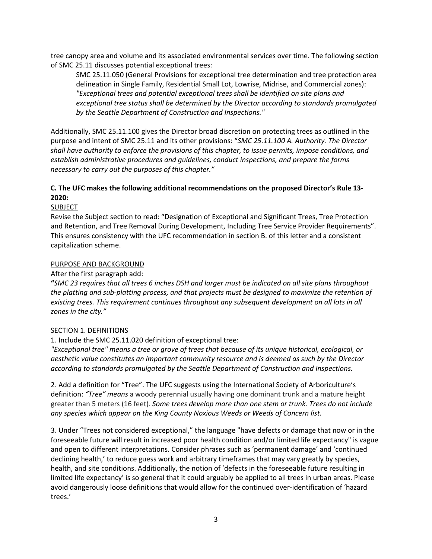tree canopy area and volume and its associated environmental services over time. The following section of SMC 25.11 discusses potential exceptional trees:

SMC 25.11.050 (General Provisions for exceptional tree determination and tree protection area delineation in Single Family, Residential Small Lot, Lowrise, Midrise, and Commercial zones): *"Exceptional trees and potential exceptional trees shall be identified on site plans and exceptional tree status shall be determined by the Director according to standards promulgated by the Seattle Department of Construction and Inspections."*

Additionally, SMC 25.11.100 gives the Director broad discretion on protecting trees as outlined in the purpose and intent of SMC 25.11 and its other provisions: "*SMC 25.11.100 A. Authority. The Director shall have authority to enforce the provisions of this chapter, to issue permits, impose conditions, and establish administrative procedures and guidelines, conduct inspections, and prepare the forms necessary to carry out the purposes of this chapter."*

# **C. The UFC makes the following additional recommendations on the proposed Director's Rule 13- 2020:**

#### **SUBJECT**

Revise the Subject section to read: "Designation of Exceptional and Significant Trees, Tree Protection and Retention, and Tree Removal During Development, Including Tree Service Provider Requirements". This ensures consistency with the UFC recommendation in section B. of this letter and a consistent capitalization scheme.

## PURPOSE AND BACKGROUND

After the first paragraph add:

**"***SMC 23 requires that all trees 6 inches DSH and larger must be indicated on all site plans throughout the platting and sub-platting process, and that projects must be designed to maximize the retention of existing trees. This requirement continues throughout any subsequent development on all lots in all zones in the city."*

#### SECTION 1. DEFINITIONS

1. Include the SMC 25.11.020 definition of exceptional tree:

*"Exceptional tree" means a tree or grove of trees that because of its unique historical, ecological, or aesthetic value constitutes an important community resource and is deemed as such by the Director according to standards promulgated by the Seattle Department of Construction and Inspections.*

2. Add a definition for "Tree". The UFC suggests using the International Society of Arboriculture's definition: *"Tree" means* a woody perennial usually having one dominant trunk and a mature height greater than 5 meters (16 feet). *Some trees develop more than one stem or trunk. Trees do not include any species which appear on the King County Noxious Weeds or Weeds of Concern list.*

3. Under "Trees not considered exceptional," the language "have defects or damage that now or in the foreseeable future will result in increased poor health condition and/or limited life expectancy" is vague and open to different interpretations. Consider phrases such as 'permanent damage' and 'continued declining health,' to reduce guess work and arbitrary timeframes that may vary greatly by species, health, and site conditions. Additionally, the notion of 'defects in the foreseeable future resulting in limited life expectancy' is so general that it could arguably be applied to all trees in urban areas. Please avoid dangerously loose definitions that would allow for the continued over-identification of 'hazard trees.'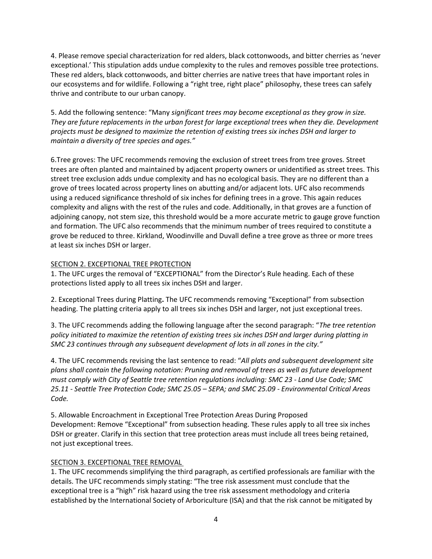4. Please remove special characterization for red alders, black cottonwoods, and bitter cherries as 'never exceptional.' This stipulation adds undue complexity to the rules and removes possible tree protections. These red alders, black cottonwoods, and bitter cherries are native trees that have important roles in our ecosystems and for wildlife. Following a "right tree, right place" philosophy, these trees can safely thrive and contribute to our urban canopy.

5. Add the following sentence: "Many *significant trees may become exceptional as they grow in size. They are future replacements in the urban forest for large exceptional trees when they die. Development projects must be designed to maximize the retention of existing trees six inches DSH and larger to maintain a diversity of tree species and ages."*

6.Tree groves: The UFC recommends removing the exclusion of street trees from tree groves. Street trees are often planted and maintained by adjacent property owners or unidentified as street trees. This street tree exclusion adds undue complexity and has no ecological basis. They are no different than a grove of trees located across property lines on abutting and/or adjacent lots. UFC also recommends using a reduced significance threshold of six inches for defining trees in a grove. This again reduces complexity and aligns with the rest of the rules and code. Additionally, in that groves are a function of adjoining canopy, not stem size, this threshold would be a more accurate metric to gauge grove function and formation. The UFC also recommends that the minimum number of trees required to constitute a grove be reduced to three. Kirkland, Woodinville and Duvall define a tree grove as three or more trees at least six inches DSH or larger.

## SECTION 2. EXCEPTIONAL TREE PROTECTION

1. The UFC urges the removal of "EXCEPTIONAL" from the Director's Rule heading. Each of these protections listed apply to all trees six inches DSH and larger.

2. Exceptional Trees during Platting**.** The UFC recommends removing "Exceptional" from subsection heading. The platting criteria apply to all trees six inches DSH and larger, not just exceptional trees.

3. The UFC recommends adding the following language after the second paragraph: "*The tree retention policy initiated to maximize the retention of existing trees six inches DSH and larger during platting in SMC 23 continues through any subsequent development of lots in all zones in the city."*

4. The UFC recommends revising the last sentence to read: "*All plats and subsequent development site plans shall contain the following notation: Pruning and removal of trees as well as future development must comply with City of Seattle tree retention regulations including: SMC 23 - Land Use Code; SMC 25.11 - Seattle Tree Protection Code; SMC 25.05 – SEPA; and SMC 25.09 - Environmental Critical Areas Code.*

5. Allowable Encroachment in Exceptional Tree Protection Areas During Proposed Development: Remove "Exceptional" from subsection heading. These rules apply to all tree six inches DSH or greater. Clarify in this section that tree protection areas must include all trees being retained, not just exceptional trees.

#### SECTION 3. EXCEPTIONAL TREE REMOVAL

1. The UFC recommends simplifying the third paragraph, as certified professionals are familiar with the details. The UFC recommends simply stating: "The tree risk assessment must conclude that the exceptional tree is a "high" risk hazard using the tree risk assessment methodology and criteria established by the International Society of Arboriculture (ISA) and that the risk cannot be mitigated by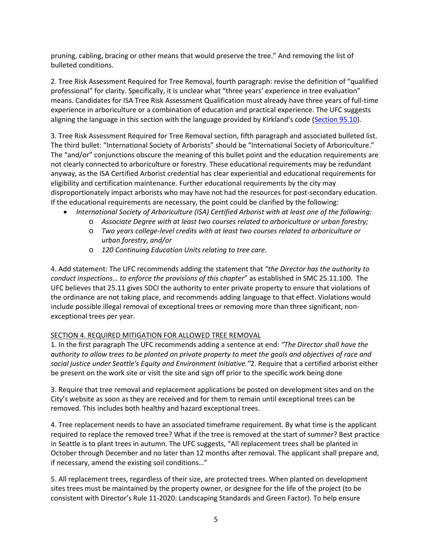pruning, cabling, bracing or other means that would preserve the tree." And removing the list of bulleted conditions.

2. Tree Risk Assessment Required for Tree Removal, fourth paragraph: revise the definition of "qualified professional" for clarity. Specifically, it is unclear what "three years' experience in tree evaluation" means. Candidates for ISA Tree Risk Assessment Qualification must already have three years of full-time experience in arboriculture or a combination of education and practical experience. The UFC suggests aligning the language in this section with the language provided by Kirkland's code [\(Section 95.10\)](https://www.codepublishing.com/WA/Kirkland/html/KirklandZ95/KirklandZ95.html#95.10).

3. Tree Risk Assessment Required for Tree Removal section, fifth paragraph and associated bulleted list. The third bullet: "International Society of Arborists" should be "International Society of Arboriculture." The "and/or" conjunctions obscure the meaning of this bullet point and the education requirements are not clearly connected to arboriculture or forestry. These educational requirements may be redundant anyway, as the ISA Certified Arborist credential has clear experiential and educational requirements for eligibility and certification maintenance. Further educational requirements by the city may disproportionately impact arborists who may have not had the resources for post-secondary education. If the educational requirements are necessary, the point could be clarified by the following:

- *International Society of Arboriculture (ISA) Certified Arborist with at least one of the following:*
	- o *Associate Degree with at least two courses related to arboriculture or urban forestry;*
	- o *Two years college-level credits with at least two courses related to arboriculture or urban forestry, and/or*
	- o *120 Continuing Education Units relating to tree care.*

4. Add statement: The UFC recommends adding the statement that *"the Director has the authority to conduct inspections… to enforce the provisions of this chapter*" as established in SMC 25.11.100. The UFC believes that 25.11 gives SDCI the authority to enter private property to ensure that violations of the ordinance are not taking place, and recommends adding language to that effect. Violations would include possible illegal removal of exceptional trees or removing more than three significant, nonexceptional trees per year.

#### SECTION 4. REQUIRED MITIGATION FOR ALLOWED TREE REMOVAL

1. In the first paragraph The UFC recommends adding a sentence at end: *"The Director shall have the authority to allow trees to be planted on private property to meet the goals and objectives of race and social justice under Seattle's Equity and Environment Initiative."*2. Require that a certified arborist either be present on the work site or visit the site and sign off prior to the specific work being done

3. Require that tree removal and replacement applications be posted on development sites and on the City's website as soon as they are received and for them to remain until exceptional trees can be removed. This includes both healthy and hazard exceptional trees.

4. Tree replacement needs to have an associated timeframe requirement. By what time is the applicant required to replace the removed tree? What if the tree is removed at the start of summer? Best practice in Seattle is to plant trees in autumn. The UFC suggests, "All replacement trees shall be planted in October through December and no later than 12 months after removal. The applicant shall prepare and, if necessary, amend the existing soil conditions…"

5. All replacement trees, regardless of their size, are protected trees. When planted on development sites trees must be maintained by the property owner, or designee for the life of the project (to be consistent with Director's Rule 11-2020: Landscaping Standards and Green Factor). To help ensure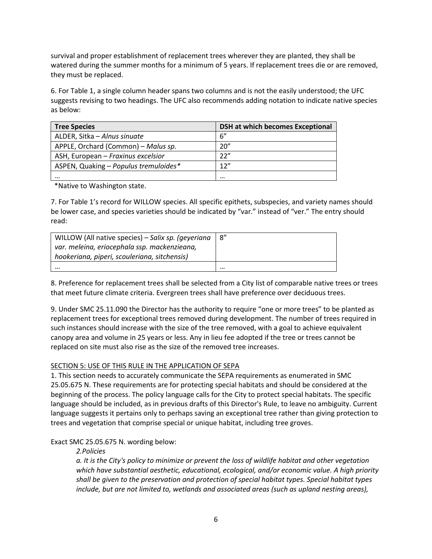survival and proper establishment of replacement trees wherever they are planted, they shall be watered during the summer months for a minimum of 5 years. If replacement trees die or are removed, they must be replaced.

6. For Table 1, a single column header spans two columns and is not the easily understood; the UFC suggests revising to two headings. The UFC also recommends adding notation to indicate native species as below:

| <b>Tree Species</b>                   | <b>DSH at which becomes Exceptional</b> |
|---------------------------------------|-----------------------------------------|
| ALDER, Sitka - Alnus sinuate          | 6''                                     |
| APPLE, Orchard (Common) – Malus sp.   | 20"                                     |
| ASH, European - Fraxinus excelsior    | 22"                                     |
| ASPEN, Quaking - Populus tremuloides* | 12"                                     |
|                                       |                                         |

\*Native to Washington state.

7. For Table 1's record for WILLOW species. All specific epithets, subspecies, and variety names should be lower case, and species varieties should be indicated by "var." instead of "ver." The entry should read:

| WILLOW (All native species) - Salix sp. (geyeriana | 8" |
|----------------------------------------------------|----|
| var. meleina, eriocephala ssp. mackenzieana,       |    |
| hookeriana, piperi, scouleriana, sitchensis)       |    |
|                                                    |    |

8. Preference for replacement trees shall be selected from a City list of comparable native trees or trees that meet future climate criteria. Evergreen trees shall have preference over deciduous trees.

9. Under SMC 25.11.090 the Director has the authority to require "one or more trees" to be planted as replacement trees for exceptional trees removed during development. The number of trees required in such instances should increase with the size of the tree removed, with a goal to achieve equivalent canopy area and volume in 25 years or less. Any in lieu fee adopted if the tree or trees cannot be replaced on site must also rise as the size of the removed tree increases.

# SECTION 5: USE OF THIS RULE IN THE APPLICATION OF SEPA

1. This section needs to accurately communicate the SEPA requirements as enumerated in SMC 25.05.675 N. These requirements are for protecting special habitats and should be considered at the beginning of the process. The policy language calls for the City to protect special habitats. The specific language should be included, as in previous drafts of this Director's Rule, to leave no ambiguity. Current language suggests it pertains only to perhaps saving an exceptional tree rather than giving protection to trees and vegetation that comprise special or unique habitat, including tree groves.

# Exact SMC 25.05.675 N. wording below:

*2.Policies*

*a. It is the City's policy to minimize or prevent the loss of wildlife habitat and other vegetation which have substantial aesthetic, educational, ecological, and/or economic value. A high priority shall be given to the preservation and protection of special habitat types. Special habitat types include, but are not limited to, wetlands and associated areas (such as upland nesting areas),*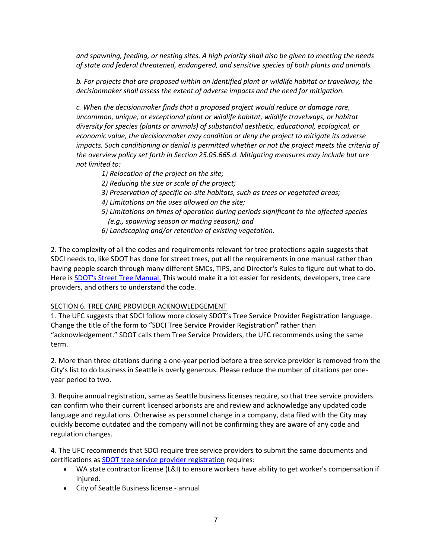*and spawning, feeding, or nesting sites. A high priority shall also be given to meeting the needs of state and federal threatened, endangered, and sensitive species of both plants and animals.*

*b. For projects that are proposed within an identified plant or wildlife habitat or travelway, the decisionmaker shall assess the extent of adverse impacts and the need for mitigation.*

*c. When the decisionmaker finds that a proposed project would reduce or damage rare, uncommon, unique, or exceptional plant or wildlife habitat, wildlife travelways, or habitat diversity for species (plants or animals) of substantial aesthetic, educational, ecological, or economic value, the decisionmaker may condition or deny the project to mitigate its adverse impacts. Such conditioning or denial is permitted whether or not the project meets the criteria of the overview policy set forth in Section 25.05.665.d. Mitigating measures may include but are not limited to:*

- *1) Relocation of the project on the site;*
- *2) Reducing the size or scale of the project;*
- *3) Preservation of specific on-site habitats, such as trees or vegetated areas;*
- *4) Limitations on the uses allowed on the site;*
- *5) Limitations on times of operation during periods significant to the affected species (e.g., spawning season or mating season); and*
- *6) Landscaping and/or retention of existing vegetation.*

2. The complexity of all the codes and requirements relevant for tree protections again suggests that SDCI needs to, like SDOT has done for street trees, put all the requirements in one manual rather than having people search through many different SMCs, TIPS, and Director's Rules to figure out what to do. Here is **SDOT's Street Tree [Manual.](https://www.seattle.gov/Documents/Departments/SDOT/Trees/StreetTreeManuaWEB.pdf)** This would make it a lot easier for residents, developers, tree care providers, and others to understand the code.

#### SECTION 6. TREE CARE PROVIDER ACKNOWLEDGEMENT

1. The UFC suggests that SDCI follow more closely SDOT's Tree Service Provider Registration language. Change the title of the form to "SDCI Tree Service Provider Registration**"** rather than "acknowledgement." SDOT calls them Tree Service Providers, the UFC recommends using the same term.

2. More than three citations during a one-year period before a tree service provider is removed from the City's list to do business in Seattle is overly generous. Please reduce the number of citations per oneyear period to two.

3. Require annual registration, same as Seattle business licenses require, so that tree service providers can confirm who their current licensed arborists are and review and acknowledge any updated code language and regulations. Otherwise as personnel change in a company, data filed with the City may quickly become outdated and the company will not be confirming they are aware of any code and regulation changes.

4. The UFC recommends that SDCI require tree service providers to submit the same documents and certifications as SDOT tree service provider [registration](https://www.seattle.gov/Documents/Departments/SDOT/Trees/Tree%20Service%20Form.pdf) requires:

- WA state contractor license (L&I) to ensure workers have ability to get worker's compensation if injured.
- City of Seattle Business license annual